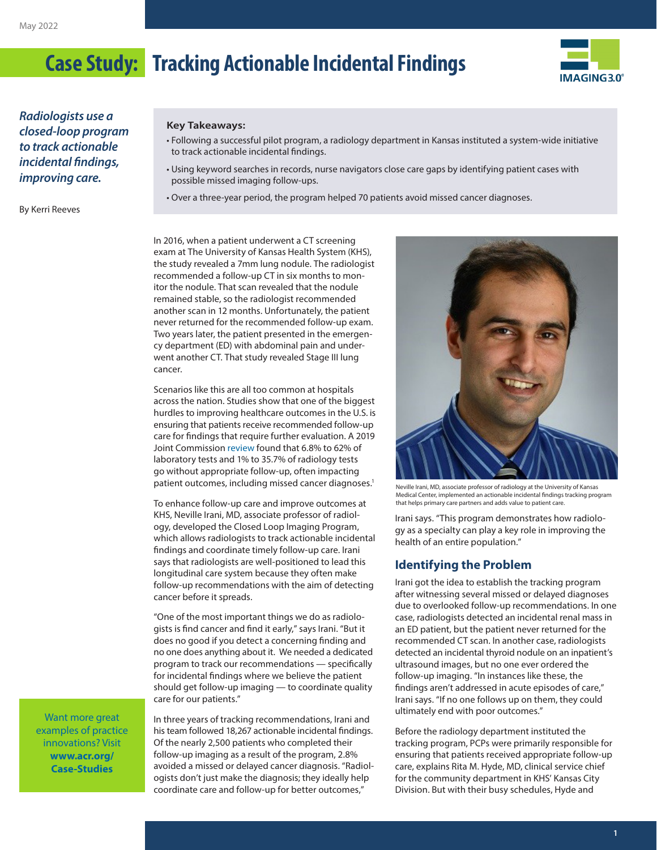

*Radiologists use a closed-loop program to track actionable incidental findings, improving care.*

By Kerri Reeves

#### **Key Takeaways:**

- Following a successful pilot program, a radiology department in Kansas instituted a system-wide initiative to track actionable incidental findings.
- Using keyword searches in records, nurse navigators close care gaps by identifying patient cases with possible missed imaging follow-ups.
- Over a three-year period, the program helped 70 patients avoid missed cancer diagnoses.

In 2016, when a patient underwent a CT screening exam at The University of Kansas Health System (KHS), the study revealed a 7mm lung nodule. The radiologist recommended a follow-up CT in six months to monitor the nodule. That scan revealed that the nodule remained stable, so the radiologist recommended another scan in 12 months. Unfortunately, the patient never returned for the recommended follow-up exam. Two years later, the patient presented in the emergency department (ED) with abdominal pain and underwent another CT. That study revealed Stage III lung cancer.

Scenarios like this are all too common at hospitals across the nation. Studies show that one of the biggest hurdles to improving healthcare outcomes in the U.S. is ensuring that patients receive recommended follow-up care for findings that require further evaluation. A 2019 Joint Commission [review](Link: https://www.jointcommission.org/resources/news-and-multimedia/newsletters/newsletters/quick-safety/quick-safety-issue-52-advancing-safety-with-closed-loop-communication-of-test-results/quick-safety-52-advancing-safety-with-closed-loop-communication-of-test-results/#.YjNh3y-B3UI) found that 6.8% to 62% of laboratory tests and 1% to 35.7% of radiology tests go without appropriate follow-up, often impacting patient outcomes, including missed cancer diagnoses.<sup>1</sup>

To enhance follow-up care and improve outcomes at KHS, Neville Irani, MD, associate professor of radiology, developed the Closed Loop Imaging Program, which allows radiologists to track actionable incidental findings and coordinate timely follow-up care. Irani says that radiologists are well-positioned to lead this longitudinal care system because they often make follow-up recommendations with the aim of detecting cancer before it spreads.

"One of the most important things we do as radiologists is find cancer and find it early," says Irani. "But it does no good if you detect a concerning finding and no one does anything about it. We needed a dedicated program to track our recommendations — specifically for incidental findings where we believe the patient should get follow-up imaging — to coordinate quality care for our patients."

Want more great examples of practice innovations? Visit **[www.acr.org/](http://www.acr.org/Case-Studies) [Case-Studies](http://www.acr.org/Case-Studies)**

In three years of tracking recommendations, Irani and his team followed 18,267 actionable incidental findings. Of the nearly 2,500 patients who completed their follow-up imaging as a result of the program, 2.8% avoided a missed or delayed cancer diagnosis. "Radiologists don't just make the diagnosis; they ideally help coordinate care and follow-up for better outcomes,"



Neville Irani, MD, associate professor of radiology at the University of Kansas Medical Center, implemented an actionable incidental findings tracking program that helps primary care partners and adds value to patient care.

Irani says. "This program demonstrates how radiology as a specialty can play a key role in improving the health of an entire population."

#### **Identifying the Problem**

Irani got the idea to establish the tracking program after witnessing several missed or delayed diagnoses due to overlooked follow-up recommendations. In one case, radiologists detected an incidental renal mass in an ED patient, but the patient never returned for the recommended CT scan. In another case, radiologists detected an incidental thyroid nodule on an inpatient's ultrasound images, but no one ever ordered the follow-up imaging. "In instances like these, the findings aren't addressed in acute episodes of care," Irani says. "If no one follows up on them, they could ultimately end with poor outcomes."

Before the radiology department instituted the tracking program, PCPs were primarily responsible for ensuring that patients received appropriate follow-up care, explains Rita M. Hyde, MD, clinical service chief for the community department in KHS' Kansas City Division. But with their busy schedules, Hyde and

**1**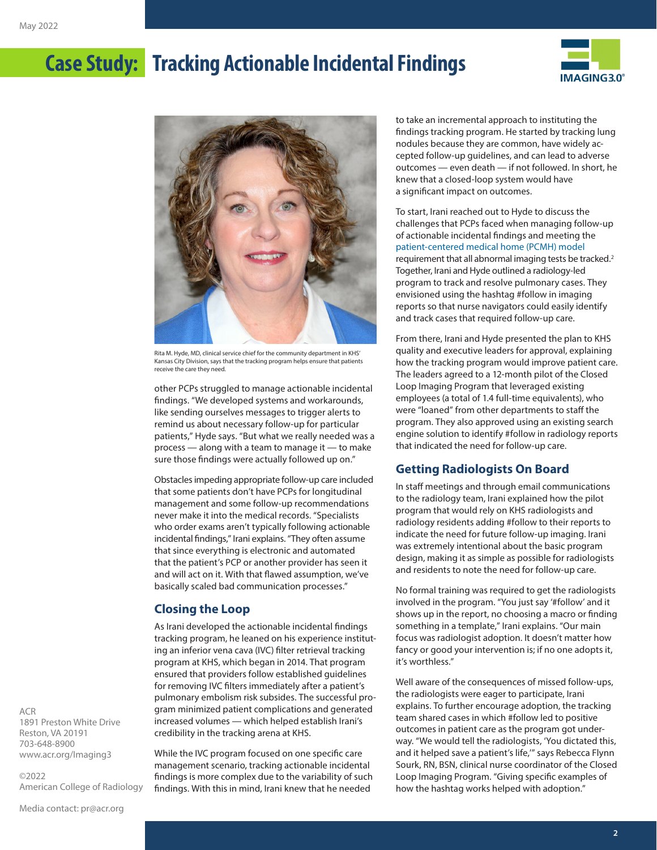



Rita M. Hyde, MD, clinical service chief for the community department in KHS' Kansas City Division, says that the tracking program helps ensure that patients receive the care they need.

other PCPs struggled to manage actionable incidental findings. "We developed systems and workarounds, like sending ourselves messages to trigger alerts to remind us about necessary follow-up for particular patients," Hyde says. "But what we really needed was a process — along with a team to manage it — to make sure those findings were actually followed up on."

Obstacles impeding appropriate follow-up care included that some patients don't have PCPs for longitudinal management and some follow-up recommendations never make it into the medical records. "Specialists who order exams aren't typically following actionable incidental findings," Irani explains. "They often assume that since everything is electronic and automated that the patient's PCP or another provider has seen it and will act on it. With that flawed assumption, we've basically scaled bad communication processes."

#### **Closing the Loop**

As Irani developed the actionable incidental findings tracking program, he leaned on his experience instituting an inferior vena cava (IVC) filter retrieval tracking program at KHS, which began in 2014. That program ensured that providers follow established guidelines for removing IVC filters immediately after a patient's pulmonary embolism risk subsides. The successful program minimized patient complications and generated increased volumes — which helped establish Irani's credibility in the tracking arena at KHS.

While the IVC program focused on one specific care management scenario, tracking actionable incidental findings is more complex due to the variability of such findings. With this in mind, Irani knew that he needed

to take an incremental approach to instituting the findings tracking program. He started by tracking lung nodules because they are common, have widely accepted follow-up guidelines, and can lead to adverse outcomes — even death — if not followed. In short, he knew that a closed-loop system would have a significant impact on outcomes.

To start, Irani reached out to Hyde to discuss the challenges that PCPs faced when managing follow-up of actionable incidental findings and meeting the [patient-centered medical home \(PCMH\) model](https://www.ahrq.gov/ncepcr/tools/pcmh/defining/index.html) requirement that all abnormal imaging tests be tracked.<sup>2</sup> Together, Irani and Hyde outlined a radiology-led program to track and resolve pulmonary cases. They envisioned using the hashtag #follow in imaging reports so that nurse navigators could easily identify and track cases that required follow-up care.

From there, Irani and Hyde presented the plan to KHS quality and executive leaders for approval, explaining how the tracking program would improve patient care. The leaders agreed to a 12-month pilot of the Closed Loop Imaging Program that leveraged existing employees (a total of 1.4 full-time equivalents), who were "loaned" from other departments to staff the program. They also approved using an existing search engine solution to identify #follow in radiology reports that indicated the need for follow-up care.

#### **Getting Radiologists On Board**

In staff meetings and through email communications to the radiology team, Irani explained how the pilot program that would rely on KHS radiologists and radiology residents adding #follow to their reports to indicate the need for future follow-up imaging. Irani was extremely intentional about the basic program design, making it as simple as possible for radiologists and residents to note the need for follow-up care.

No formal training was required to get the radiologists involved in the program. "You just say '#follow' and it shows up in the report, no choosing a macro or finding something in a template," Irani explains. "Our main focus was radiologist adoption. It doesn't matter how fancy or good your intervention is; if no one adopts it, it's worthless."

Well aware of the consequences of missed follow-ups, the radiologists were eager to participate, Irani explains. To further encourage adoption, the tracking team shared cases in which #follow led to positive outcomes in patient care as the program got underway. "We would tell the radiologists, 'You dictated this, and it helped save a patient's life,'" says Rebecca Flynn Sourk, RN, BSN, clinical nurse coordinator of the Closed Loop Imaging Program. "Giving specific examples of how the hashtag works helped with adoption."

ACR 1891 Preston White Drive Reston, VA 20191 703-648-8900 [www.acr.org/Imaging3](http://www.acr.org/Imaging3)

©2022 American College of Radiology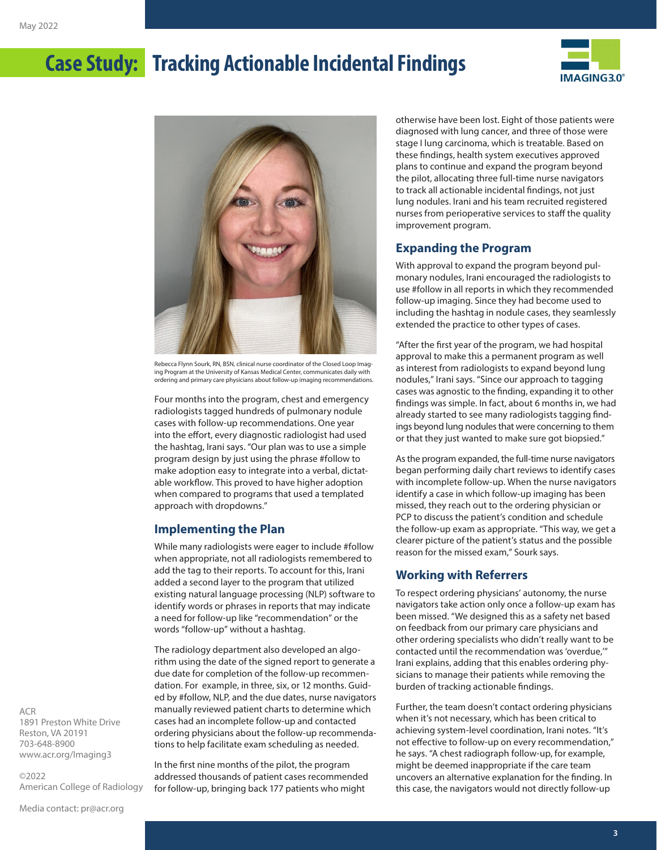



Rebecca Flynn Sourk, RN, BSN, clinical nurse coordinator of the Closed Loop Imaging Program at the University of Kansas Medical Center, communicates daily with ordering and primary care physicians about follow-up imaging recommendations.

Four months into the program, chest and emergency radiologists tagged hundreds of pulmonary nodule cases with follow-up recommendations. One year into the effort, every diagnostic radiologist had used the hashtag, Irani says. "Our plan was to use a simple program design by just using the phrase #follow to make adoption easy to integrate into a verbal, dictatable workflow. This proved to have higher adoption when compared to programs that used a templated approach with dropdowns."

#### **Implementing the Plan**

While many radiologists were eager to include #follow when appropriate, not all radiologists remembered to add the tag to their reports. To account for this, Irani added a second layer to the program that utilized existing natural language processing (NLP) software to identify words or phrases in reports that may indicate a need for follow-up like "recommendation" or the words "follow-up" without a hashtag.

The radiology department also developed an algorithm using the date of the signed report to generate a due date for completion of the follow-up recommendation. For example, in three, six, or 12 months. Guided by #follow, NLP, and the due dates, nurse navigators manually reviewed patient charts to determine which cases had an incomplete follow-up and contacted ordering physicians about the follow-up recommendations to help facilitate exam scheduling as needed.

In the first nine months of the pilot, the program addressed thousands of patient cases recommended for follow-up, bringing back 177 patients who might

otherwise have been lost. Eight of those patients were diagnosed with lung cancer, and three of those were stage I lung carcinoma, which is treatable. Based on these findings, health system executives approved plans to continue and expand the program beyond the pilot, allocating three full-time nurse navigators to track all actionable incidental findings, not just lung nodules. Irani and his team recruited registered nurses from perioperative services to staff the quality improvement program.

#### **Expanding the Program**

With approval to expand the program beyond pulmonary nodules, Irani encouraged the radiologists to use #follow in all reports in which they recommended follow-up imaging. Since they had become used to including the hashtag in nodule cases, they seamlessly extended the practice to other types of cases.

"After the first year of the program, we had hospital approval to make this a permanent program as well as interest from radiologists to expand beyond lung nodules," Irani says. "Since our approach to tagging cases was agnostic to the finding, expanding it to other findings was simple. In fact, about 6 months in, we had already started to see many radiologists tagging findings beyond lung nodules that were concerning to them or that they just wanted to make sure got biopsied."

As the program expanded, the full-time nurse navigators began performing daily chart reviews to identify cases with incomplete follow-up. When the nurse navigators identify a case in which follow-up imaging has been missed, they reach out to the ordering physician or PCP to discuss the patient's condition and schedule the follow-up exam as appropriate. "This way, we get a clearer picture of the patient's status and the possible reason for the missed exam," Sourk says.

#### **Working with Referrers**

To respect ordering physicians' autonomy, the nurse navigators take action only once a follow-up exam has been missed. "We designed this as a safety net based on feedback from our primary care physicians and other ordering specialists who didn't really want to be contacted until the recommendation was 'overdue,'" Irani explains, adding that this enables ordering physicians to manage their patients while removing the burden of tracking actionable findings.

Further, the team doesn't contact ordering physicians when it's not necessary, which has been critical to achieving system-level coordination, Irani notes. "It's not effective to follow-up on every recommendation," he says. "A chest radiograph follow-up, for example, might be deemed inappropriate if the care team uncovers an alternative explanation for the finding. In this case, the navigators would not directly follow-up

ACR 1891 Preston White Drive Reston, VA 20191 703-648-8900 [www.acr.org/Imaging3](http://www.acr.org/Imaging3)

©2022 American College of Radiology